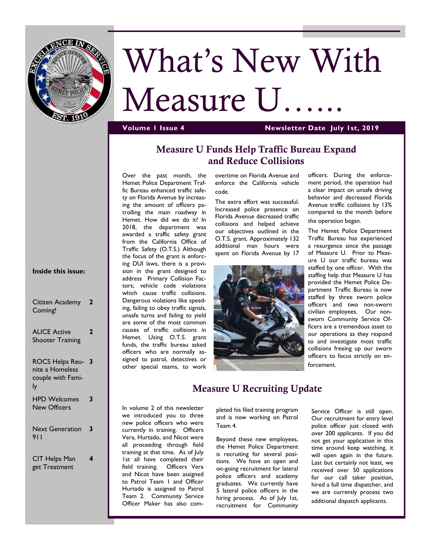

# What's New With Measure U.

#### **Volume 1 Issue 4 Newsletter Date July 1st, 2019**

#### **Measure U Funds Help Traffic Bureau Expand and Reduce Collisions**

Over the past month, the Hemet Police Department Traffic Bureau enhanced traffic safety on Florida Avenue by increasing the amount of officers patrolling the main roadway in Hemet. How did we do it? In 2018, the department was awarded a traffic safety grant from the California Office of Traffic Safety (O.T.S.) Although the focus of the grant is enforcing DUI laws, there is a provision in the grant designed to address Primary Collision Factors; vehicle code violations which cause traffic collisions. Dangerous violations like speeding, failing to obey traffic signals, unsafe turns and failing to yield are some of the most common causes of traffic collisions in Hemet. Using O.T.S. grant funds, the traffic bureau asked officers who are normally assigned to patrol, detectives or other special teams, to work

overtime on Florida Avenue and enforce the California vehicle code.

The extra effort was successful. Increased police presence on Florida Avenue decreased traffic collisions and helped achieve our objectives outlined in the O.T.S. grant. Approximately 132 additional man hours were spent on Florida Avenue by 17



officers. During the enforcement period, the operation had a clear impact on unsafe driving behavior and decreased Florida Avenue traffic collisions by 13% compared to the month before the operation began.

The Hemet Police Department Traffic Bureau has experienced a resurgence since the passage of Measure U. Prior to Measure U our traffic bureau was staffed by one officer. With the staffing help that Measure U has provided the Hemet Police Department Traffic Bureau is now staffed by three sworn police officers and two non-sworn civilian employees. Our nonsworn Community Service Officers are a tremendous asset to our operations as they respond to and investigate most traffic collisions freeing up our sworn officers to focus strictly on enforcement.

#### **Inside this issue:**

| Citizen Academy<br>Coming!                                     |   |
|----------------------------------------------------------------|---|
| <b>ALICE Active</b><br><b>Shooter Training</b>                 |   |
| <b>ROCS Helps Reu-</b><br>nite a Homeless<br>couple with Fami- | 3 |

| <b>HPD Welcomes</b> | 3 |
|---------------------|---|
| <b>New Officers</b> |   |

```
Next Generation 
3
911
```
CIT Helps Man get Treatment

**4**

## **Measure U Recruiting Update**

In volume 2 of this newsletter we introduced you to three new police officers who were currently in training. Officers Vera, Hurtado, and Nicot were all proceeding through field training at that time. As of July 1st all have completed their field training. Officers Vera and Nicot have been assigned to Patrol Team 1 and Officer Hurtado is assigned to Patrol Team 2. Community Service Officer Maker has also com-

pleted his filed training program and is now working on Patrol Team 4.

Beyond these new employees, the Hemet Police Department is recruiting for several positions. We have an open and on-going recruitment for lateral police officers and academy graduates. We currently have 5 lateral police officers in the hiring process. As of July 1st, recruitment for Community

Service Officer is still open. Our recruitment for entry level police officer just closed with over 200 applicants. If you did not get your application in this time around keep watching, it will open again in the future. Last but certainly not least, we received over 50 applications for our call taker position, hired a full time dispatcher, and we are currently process two additional dispatch applicants.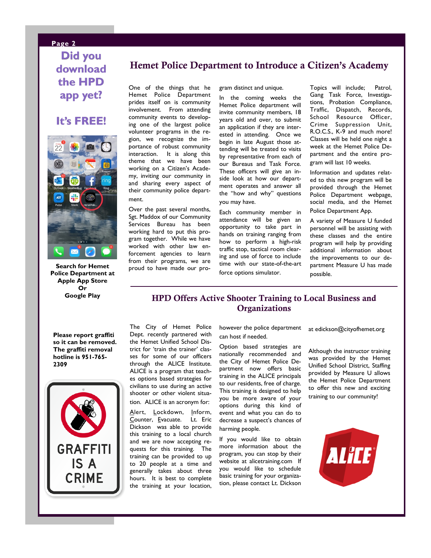#### **Page 2**

**Did you download the HPD app yet?**

### **It's FREE!**



**Search for Hemet Police Department at Apple App Store Or Google Play**

#### **Hemet Police Department to Introduce a Citizen's Academy**

One of the things that he Hemet Police Department prides itself on is community involvement. From attending community events to developing one of the largest police volunteer programs in the region, we recognize the importance of robust community interaction. It is along this theme that we have been working on a Citizen's Academy, inviting our community in and sharing every aspect of their community police department.

Over the past several months, Sgt. Maddox of our Community Services Bureau has been working hard to put this program together. While we have worked with other law enforcement agencies to learn from their programs, we are proud to have made our program distinct and unique.

In the coming weeks the Hemet Police department will invite community members, 18 years old and over, to submit an application if they are interested in attending. Once we begin in late August those attending will be treated to visits by representative from each of our Bureaus and Task Force. These officers will give an inside look at how our department operates and answer all the "how and why" questions you may have.

Each community member in attendance will be given an opportunity to take part in hands on training ranging from how to perform a high-risk traffic stop, tactical room clearing and use of force to include time with our state-of-the-art force options simulator.

Topics will include; Patrol, Gang Task Force, Investigations, Probation Compliance, Traffic, Dispatch, Records, School Resource Officer, Crime Suppression Unit, R.O.C.S., K-9 and much more! Classes will be held one night a week at the Hemet Police Department and the entire program will last 10 weeks.

Information and updates related to this new program will be provided through the Hemet Police Department webpage, social media, and the Hemet Police Department App.

A variety of Measure U funded personnel will be assisting with these classes and the entire program will help by providing additional information about the improvements to our department Measure U has made possible.

#### **HPD Offers Active Shooter Training to Local Business and Organizations**

**Please report graffiti so it can be removed. The graffiti removal hotline is 951-765- 2309**



The City of Hemet Police Dept. recently partnered with the Hemet Unified School District for 'train the trainer' classes for some of our officers through the ALICE Institute. ALICE is a program that teaches options based strategies for civilians to use during an active shooter or other violent situation. ALICE is an acronym for:

Alert, Lockdown, Inform, Counter, Evacuate. Lt. Eric Dickson was able to provide this training to a local church and we are now accepting requests for this training. The training can be provided to up to 20 people at a time and generally takes about three hours. It is best to complete the training at your location, however the police department can host if needed.

Option based strategies are nationally recommended and the City of Hemet Police Department now offers basic training in the ALICE principals to our residents, free of charge. This training is designed to help you be more aware of your options during this kind of event and what you can do to decrease a suspect's chances of harming people.

If you would like to obtain more information about the program, you can stop by their website at alicetraining.com If you would like to schedule basic training for your organization, please contact Lt. Dickson

at edickson@cityofhemet.org

Although the instructor training was provided by the Hemet Unified School District, Staffing provided by Measure U allows the Hemet Police Department to offer this new and exciting training to our community!

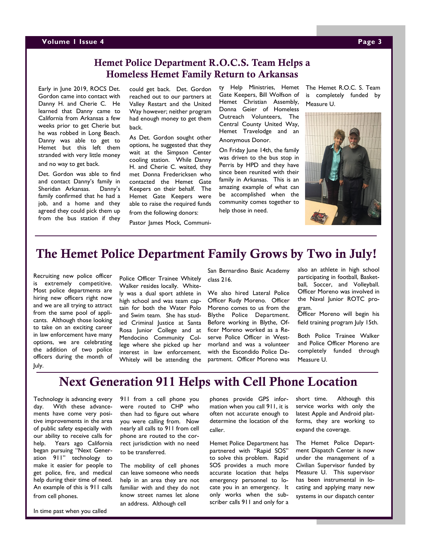#### **Volume 1 Issue 4 Page 3**

#### **Hemet Police Department R.O.C.S. Team Helps a Homeless Hemet Family Return to Arkansas**

Early in June 2019, ROCS Det. Gordon came into contact with Danny H. and Cherie C. He learned that Danny came to California from Arkansas a few weeks prior to get Cherie but he was robbed in Long Beach. Danny was able to get to Hemet but this left them stranded with very little money and no way to get back.

Det. Gordon was able to find and contact Danny's family in Sheridan Arkansas. Danny's family confirmed that he had a job, and a home and they agreed they could pick them up from the bus station if they could get back. Det. Gordon reached out to our partners at Valley Restart and the United Way however; neither program had enough money to get them back.

As Det. Gordon sought other options, he suggested that they wait at the Simpson Center cooling station. While Danny H. and Cherie C. waited, they met Donna Fredericksen who contacted the Hemet Gate Keepers on their behalf. The Hemet Gate Keepers were able to raise the required funds from the following donors:

Pastor James Mock, Communi-

ty Help Ministries, Hemet Gate Keepers, Bill Wolfson of Hemet Christian Assembly, Donna Geier of Homeless Outreach Volunteers, The Central County United Way, Hemet Travelodge and an Anonymous Donor.

On Friday June 14th, the family was driven to the bus stop in Perris by HPD and they have since been reunited with their family in Arkansas. This is an amazing example of what can be accomplished when the community comes together to help those in need.

The Hemet R.O.C. S. Team is completely funded by Measure U.



## **The Hemet Police Department Family Grows by Two in July!**

Recruiting new police officer is extremely competitive. Most police departments are hiring new officers right now and we are all trying to attract from the same pool of applicants. Although those looking to take on an exciting career in law enforcement have many options, we are celebrating the addition of two police officers during the month of July.

Police Officer Trainee Whitely Walker resides locally. Whitely was a dual sport athlete in high school and was team captain for both the Water Polo and Swim team. She has studied Criminal Justice at Santa Rosa Junior College and at Mendocino Community College where she picked up her interest in law enforcement. Whitely will be attending the

San Bernardino Basic Academy class 216.

We also hired Lateral Police Officer Rudy Moreno. Officer Moreno comes to us from the Blythe Police Department. Before working in Blythe, Officer Moreno worked as a Reserve Police Officer in Westmorland and was a volunteer with the Escondido Police Department. Officer Moreno was also an athlete in high school participating in football, Basketball, Soccer, and Volleyball. Officer Moreno was involved in the Naval Junior ROTC program.

Officer Moreno will begin his field training program July 15th.

Both Police Trainee Walker and Police Officer Moreno are completely funded through Measure U.

# **Next Generation 911 Helps with Cell Phone Location**

Technology is advancing every day. With these advancements have come very positive improvements in the area of public safety especially with our ability to receive calls for help. Years ago California began pursuing "Next Generation 911" technology to make it easier for people to get police, fire, and medical help during their time of need. An example of this is 911 calls from cell phones.

In time past when you called

911 from a cell phone you were routed to CHP who then had to figure out where you were calling from. Now nearly all calls to 911 from cell phone are routed to the correct jurisdiction with no need to be transferred.

The mobility of cell phones can leave someone who needs help in an area they are not familiar with and they do not know street names let alone an address. Although cell

phones provide GPS information when you call 911, it is often not accurate enough to determine the location of the caller.

Hemet Police Department has partnered with "Rapid SOS" to solve this problem. Rapid SOS provides a much more accurate location that helps emergency personnel to locate you in an emergency. It only works when the subscriber calls 911 and only for a

short time. Although this service works with only the latest Apple and Android platforms, they are working to expand the coverage.

The Hemet Police Department Dispatch Center is now under the management of a Civilian Supervisor funded by Measure U. This supervisor has been instrumental in locating and applying many new systems in our dispatch center